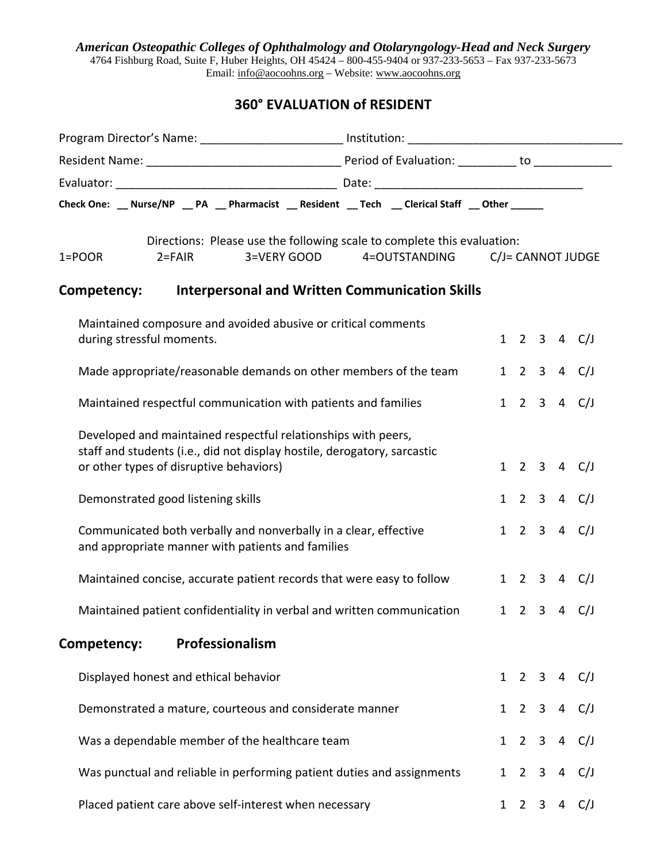*American Osteopathic Colleges of Ophthalmology and Otolaryngology-Head and Neck Surgery* 

4764 Fishburg Road, Suite F, Huber Heights, OH 45424 – 800-455-9404 or 937-233-5653 – Fax 937-233-5673 Email: info@aocoohns.org – Website: www.aocoohns.org

## **360° EVALUATION of RESIDENT**

|                                                         | Check One: __ Nurse/NP __ PA __ Pharmacist __ Resident __ Tech __ Clerical Staff __ Other ______                                          |              |                |                |   |                       |
|---------------------------------------------------------|-------------------------------------------------------------------------------------------------------------------------------------------|--------------|----------------|----------------|---|-----------------------|
| $2 = FAIR$<br>$1 = POOR$                                | Directions: Please use the following scale to complete this evaluation:<br>3=VERY GOOD<br>4=OUTSTANDING                                   |              |                |                |   | C/J= CANNOT JUDGE     |
| Competency:                                             | <b>Interpersonal and Written Communication Skills</b>                                                                                     |              |                |                |   |                       |
| during stressful moments.                               | Maintained composure and avoided abusive or critical comments                                                                             |              |                |                |   | $1 \t2 \t3 \t4 \tC/J$ |
|                                                         | Made appropriate/reasonable demands on other members of the team                                                                          |              |                |                |   | 1 2 3 4 C/J           |
|                                                         | Maintained respectful communication with patients and families                                                                            |              |                |                |   | 1 2 3 4 C/J           |
| or other types of disruptive behaviors)                 | Developed and maintained respectful relationships with peers,<br>staff and students (i.e., did not display hostile, derogatory, sarcastic |              |                |                |   | 1 2 3 4 C/J           |
| Demonstrated good listening skills                      |                                                                                                                                           |              |                |                |   | 1 2 3 4 C/J           |
| and appropriate manner with patients and families       | Communicated both verbally and nonverbally in a clear, effective                                                                          |              |                |                |   | 1 2 3 4 C/J           |
|                                                         | Maintained concise, accurate patient records that were easy to follow                                                                     |              |                |                |   | $1 \t2 \t3 \t4 \tC/J$ |
|                                                         | Maintained patient confidentiality in verbal and written communication                                                                    |              |                |                |   | $1 \t2 \t3 \t4 \tC/J$ |
| Professionalism<br>Competency:                          |                                                                                                                                           |              |                |                |   |                       |
| Displayed honest and ethical behavior                   |                                                                                                                                           |              |                |                |   | 1 2 3 4 C/J           |
| Demonstrated a mature, courteous and considerate manner |                                                                                                                                           | $\mathbf{1}$ |                | 2 <sup>3</sup> |   | 4 C/J                 |
| Was a dependable member of the healthcare team          |                                                                                                                                           | $\mathbf{1}$ | $\overline{2}$ | $\overline{3}$ |   | 4 $C/J$               |
|                                                         | Was punctual and reliable in performing patient duties and assignments                                                                    | $\mathbf{1}$ | $2^{\circ}$    | $\mathbf{3}$   |   | 4 C/J                 |
| Placed patient care above self-interest when necessary  |                                                                                                                                           | $\mathbf{1}$ | $\overline{2}$ | 3              | 4 | C/J                   |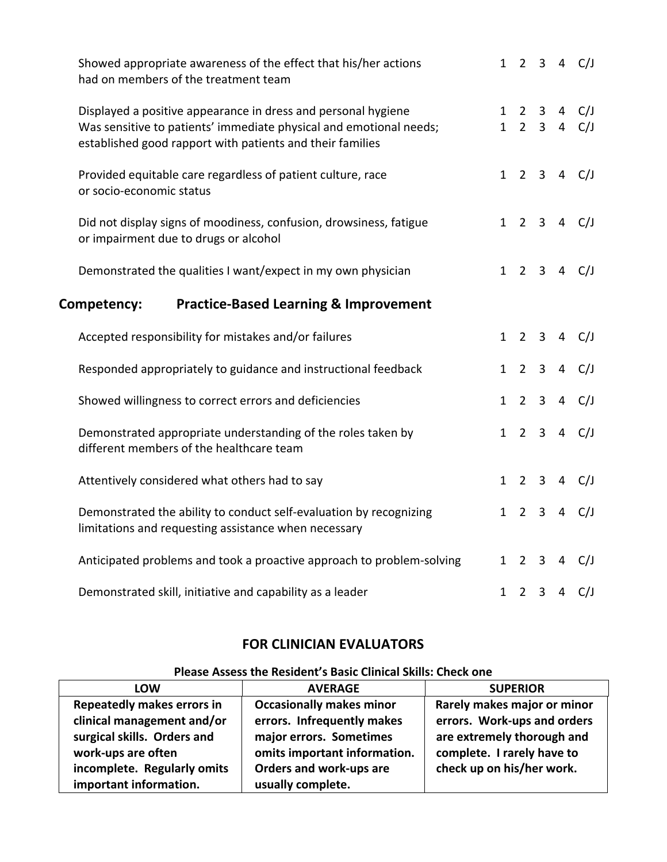| Showed appropriate awareness of the effect that his/her actions<br>had on members of the treatment team                                                                                          |              |                |                                    |                     | $1 \t2 \t3 \t4 \tC/J$ |
|--------------------------------------------------------------------------------------------------------------------------------------------------------------------------------------------------|--------------|----------------|------------------------------------|---------------------|-----------------------|
| Displayed a positive appearance in dress and personal hygiene<br>Was sensitive to patients' immediate physical and emotional needs;<br>established good rapport with patients and their families | $\mathbf{1}$ |                | $1 \quad 2 \quad 3$<br>$2 \quad 3$ | 4<br>$\overline{4}$ | C/J<br>C/J            |
| Provided equitable care regardless of patient culture, race<br>or socio-economic status                                                                                                          | 1            |                |                                    |                     | $2 \t3 \t4 \tC/J$     |
| Did not display signs of moodiness, confusion, drowsiness, fatigue<br>or impairment due to drugs or alcohol                                                                                      |              |                |                                    |                     | $1 \t2 \t3 \t4 \tC/J$ |
| Demonstrated the qualities I want/expect in my own physician                                                                                                                                     | $\mathbf{1}$ |                |                                    |                     | $2 \t3 \t4 \tC/J$     |
| Competency:<br><b>Practice-Based Learning &amp; Improvement</b>                                                                                                                                  |              |                |                                    |                     |                       |
| Accepted responsibility for mistakes and/or failures                                                                                                                                             | $\mathbf{1}$ |                |                                    |                     | $2 \t3 \t4 \tC/J$     |
| Responded appropriately to guidance and instructional feedback                                                                                                                                   | $\mathbf{1}$ |                | $2 \quad 3$                        | 4                   | C/J                   |
| Showed willingness to correct errors and deficiencies                                                                                                                                            | $\mathbf{1}$ |                | $2 \quad 3$                        | $\overline{4}$      | C/J                   |
| Demonstrated appropriate understanding of the roles taken by<br>different members of the healthcare team                                                                                         | $\mathbf{1}$ |                | $2 \quad 3$                        |                     | 4 $C/J$               |
| Attentively considered what others had to say                                                                                                                                                    | $\mathbf{1}$ |                | $2 \quad 3$                        | $\overline{4}$      | C/J                   |
| Demonstrated the ability to conduct self-evaluation by recognizing<br>limitations and requesting assistance when necessary                                                                       | $\mathbf{1}$ | $\overline{2}$ | $\mathbf{3}$                       | $\overline{4}$      | C/J                   |
| Anticipated problems and took a proactive approach to problem-solving                                                                                                                            | $\mathbf{1}$ |                |                                    | $2 \t3 \t4$         | C/J                   |
| Demonstrated skill, initiative and capability as a leader                                                                                                                                        |              |                | $1 \quad 2 \quad 3$                | $\overline{4}$      | C/J                   |

## **FOR CLINICIAN EVALUATORS**

## **LOW AVERAGE SUPERIOR Repeatedly makes errors in clinical management and/or surgical skills. Orders and work‐ups are often incomplete. Regularly omits important information. Occasionally makes minor errors. Infrequently makes major errors. Sometimes omits important information. Orders and work‐ups are usually complete. Rarely makes major or minor errors. Work‐ups and orders are extremely thorough and complete. I rarely have to check up on his/her work.**

## **Please Assess the Resident's Basic Clinical Skills: Check one**